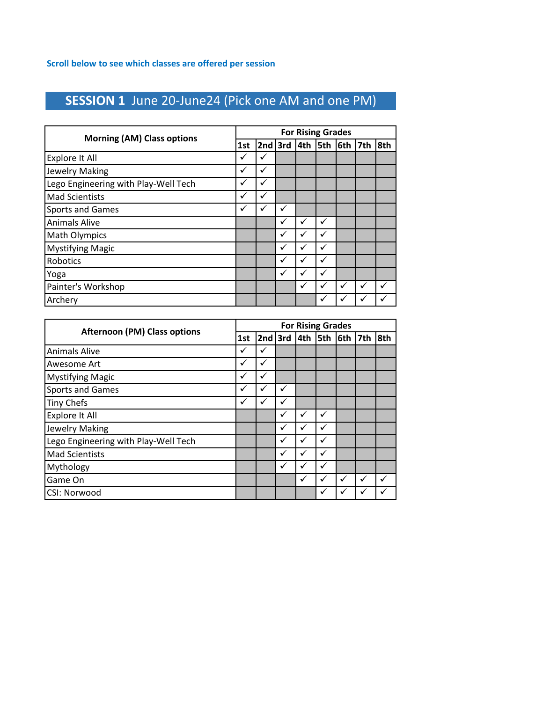# **SESSION 1** June 20-June24 (Pick one AM and one PM)

| <b>Morning (AM) Class options</b>    |     |           |   |              | <b>For Rising Grades</b> |   |     |     |
|--------------------------------------|-----|-----------|---|--------------|--------------------------|---|-----|-----|
|                                      | 1st | $2nd$ 3rd |   | 4th          | $5th$ 6th                |   | 7th | 8th |
| <b>Explore It All</b>                |     | ✓         |   |              |                          |   |     |     |
| <b>Jewelry Making</b>                | ✓   | ✓         |   |              |                          |   |     |     |
| Lego Engineering with Play-Well Tech | ✓   | ✓         |   |              |                          |   |     |     |
| <b>Mad Scientists</b>                | ✓   | ✓         |   |              |                          |   |     |     |
| <b>Sports and Games</b>              | ✓   | ✓         | ✓ |              |                          |   |     |     |
| <b>Animals Alive</b>                 |     |           | ✓ | $\checkmark$ | ✓                        |   |     |     |
| <b>Math Olympics</b>                 |     |           | ✓ | v            |                          |   |     |     |
| <b>Mystifying Magic</b>              |     |           | ✓ | $\checkmark$ | ✓                        |   |     |     |
| Robotics                             |     |           | ✓ | $\checkmark$ | ✓                        |   |     |     |
| Yoga                                 |     |           | ✓ | v            | ✓                        |   |     |     |
| Painter's Workshop                   |     |           |   | $\checkmark$ |                          | ✓ | ✓   |     |
| Archery                              |     |           |   |              |                          |   | ✓   |     |

| <b>Afternoon (PM) Class options</b>  |     |           |              |              | <b>For Rising Grades</b> |              |     |     |
|--------------------------------------|-----|-----------|--------------|--------------|--------------------------|--------------|-----|-----|
|                                      | 1st | $2nd$ 3rd |              | 4th          | <b>Sth</b>               | 6th          | 7th | 8th |
| <b>Animals Alive</b>                 | ✓   | ✓         |              |              |                          |              |     |     |
| Awesome Art                          | ✓   | ✓         |              |              |                          |              |     |     |
| <b>Mystifying Magic</b>              | ✓   | ✓         |              |              |                          |              |     |     |
| <b>Sports and Games</b>              | ✓   | ✓         | v            |              |                          |              |     |     |
| <b>Tiny Chefs</b>                    | ✓   | ✓         | $\checkmark$ |              |                          |              |     |     |
| Explore It All                       |     |           | $\checkmark$ | ✓            | ✓                        |              |     |     |
| <b>Jewelry Making</b>                |     |           | v            |              | ✓                        |              |     |     |
| Lego Engineering with Play-Well Tech |     |           | v            |              | ✓                        |              |     |     |
| <b>Mad Scientists</b>                |     |           | $\checkmark$ | $\checkmark$ | ✓                        |              |     |     |
| Mythology                            |     |           | v            |              | ✓                        |              |     |     |
| Game On                              |     |           |              | ✓            | ✓                        | ✓            | ✓   |     |
| <b>CSI: Norwood</b>                  |     |           |              |              |                          | $\checkmark$ | ✔   |     |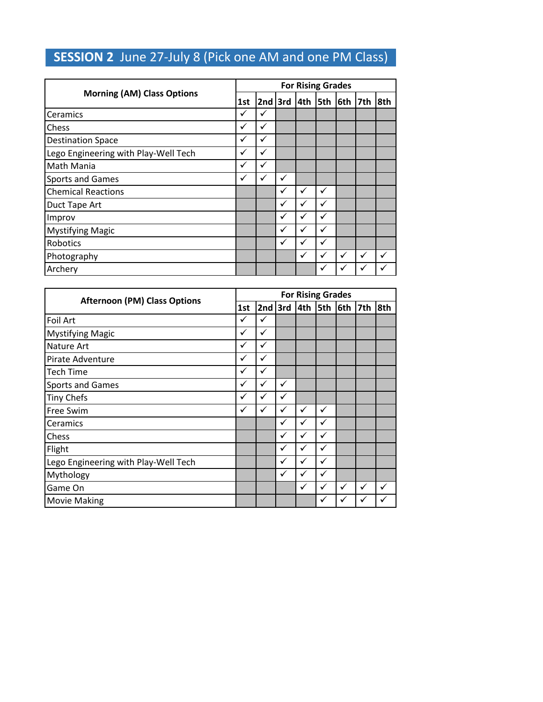## **SESSION 2** June 27-July 8 (Pick one AM and one PM Class)

|                                      |     |   |           |     | <b>For Rising Grades</b> |     |     |     |
|--------------------------------------|-----|---|-----------|-----|--------------------------|-----|-----|-----|
| <b>Morning (AM) Class Options</b>    | 1st |   | $2nd$ 3rd | 4th | <b>5th</b>               | 6th | 7th | 8th |
| Ceramics                             | ✓   | ✓ |           |     |                          |     |     |     |
| Chess                                | ✓   | ✓ |           |     |                          |     |     |     |
| <b>Destination Space</b>             | ✓   | ✓ |           |     |                          |     |     |     |
| Lego Engineering with Play-Well Tech | ✓   | ✓ |           |     |                          |     |     |     |
| Math Mania                           | ✓   | ✓ |           |     |                          |     |     |     |
| <b>Sports and Games</b>              | ✓   | ✓ | ✓         |     |                          |     |     |     |
| <b>Chemical Reactions</b>            |     |   | ✓         | ✓   | ✓                        |     |     |     |
| Duct Tape Art                        |     |   | √         | ✓   | ✓                        |     |     |     |
| Improv                               |     |   | v         | ✓   | ✓                        |     |     |     |
| <b>Mystifying Magic</b>              |     |   | ✔         | ✓   | ✓                        |     |     |     |
| Robotics                             |     |   | ✓         | ✓   | ✓                        |     |     |     |
| Photography                          |     |   |           | ✓   | ✓                        | ✓   | ✓   | ✓   |
| Archery                              |     |   |           |     | ✓                        | ✓   | ✓   |     |

|                                      |     |   |              | <b>For Rising Grades</b> |   |           |   |              |
|--------------------------------------|-----|---|--------------|--------------------------|---|-----------|---|--------------|
| <b>Afternoon (PM) Class Options</b>  | 1st |   | 2nd $3rd$    | $4th$ 5th                |   | $6th$ 7th |   | 8th          |
| Foil Art                             | ✓   | ✓ |              |                          |   |           |   |              |
| <b>Mystifying Magic</b>              | ✓   | ✓ |              |                          |   |           |   |              |
| Nature Art                           | ✓   | ✓ |              |                          |   |           |   |              |
| Pirate Adventure                     | ✓   | ✓ |              |                          |   |           |   |              |
| <b>Tech Time</b>                     | ✓   | ✓ |              |                          |   |           |   |              |
| <b>Sports and Games</b>              | ✓   | ✓ | $\checkmark$ |                          |   |           |   |              |
| <b>Tiny Chefs</b>                    | ✓   | ✓ | $\checkmark$ |                          |   |           |   |              |
| Free Swim                            | ✓   | ✓ | $\checkmark$ | $\checkmark$             | ✓ |           |   |              |
| Ceramics                             |     |   | ✓            | ✓                        | ✓ |           |   |              |
| Chess                                |     |   | $\checkmark$ | ✓                        | ✓ |           |   |              |
| Flight                               |     |   | $\checkmark$ | ✓                        | ✓ |           |   |              |
| Lego Engineering with Play-Well Tech |     |   | ✓            | ✓                        | ✓ |           |   |              |
| Mythology                            |     |   | ✓            | ✓                        | ✓ |           |   |              |
| Game On                              |     |   |              | ✓                        | ✓ | ✓         | ✓ | $\checkmark$ |
| <b>Movie Making</b>                  |     |   |              |                          |   | ✓         | ✓ |              |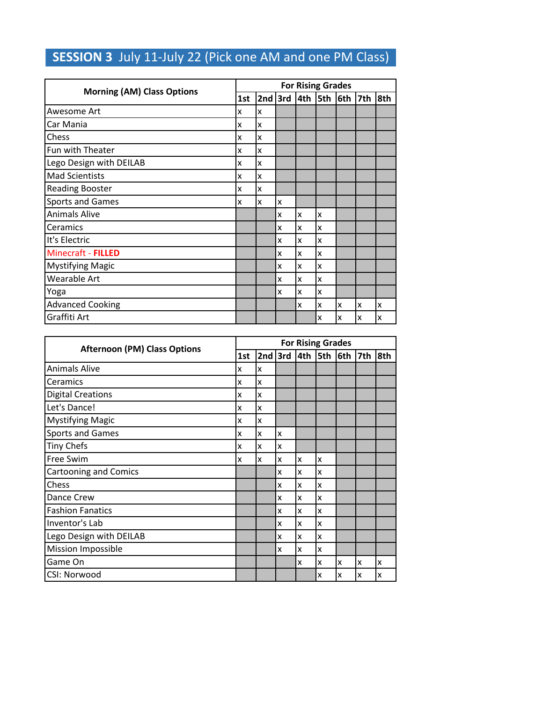### **SESSION 3** July 11-July 22 (Pick one AM and one PM Class)

|                                   |     |                           |   | <b>For Rising Grades</b> |   |   |     |     |
|-----------------------------------|-----|---------------------------|---|--------------------------|---|---|-----|-----|
| <b>Morning (AM) Class Options</b> | 1st | $2nd$ 3rd $4th$ 5th $6th$ |   |                          |   |   | 7th | 8th |
| Awesome Art                       | x   | X                         |   |                          |   |   |     |     |
| Car Mania                         | X   | Ιx                        |   |                          |   |   |     |     |
| Chess                             | x   | Ιx                        |   |                          |   |   |     |     |
| Fun with Theater                  | X   | Ιx                        |   |                          |   |   |     |     |
| Lego Design with DEILAB           | x   | x                         |   |                          |   |   |     |     |
| <b>Mad Scientists</b>             | X   | lχ                        |   |                          |   |   |     |     |
| <b>Reading Booster</b>            | x   | Ιx                        |   |                          |   |   |     |     |
| <b>Sports and Games</b>           | X   | Ιx                        | X |                          |   |   |     |     |
| <b>Animals Alive</b>              |     |                           | X | X                        | X |   |     |     |
| Ceramics                          |     |                           | x | X                        | X |   |     |     |
| It's Electric                     |     |                           | x | X                        | X |   |     |     |
| Minecraft - FILLED                |     |                           | x | X                        | X |   |     |     |
| <b>Mystifying Magic</b>           |     |                           | x | X                        | X |   |     |     |
| Wearable Art                      |     |                           | x | X                        | X |   |     |     |
| Yoga                              |     |                           | x | x                        | X |   |     |     |
| <b>Advanced Cooking</b>           |     |                           |   | x                        | X | X | X   | X   |
| Graffiti Art                      |     |                           |   |                          | X | X | X   | x   |

|                                     |     |   |   |   | <b>For Rising Grades</b> |                                 |   |     |
|-------------------------------------|-----|---|---|---|--------------------------|---------------------------------|---|-----|
| <b>Afternoon (PM) Class Options</b> | 1st |   |   |   |                          | $2nd$ 3rd $ 4th$ 5th $ 6th$ 7th |   | 8th |
| <b>Animals Alive</b>                | X   | X |   |   |                          |                                 |   |     |
| Ceramics                            | X   | X |   |   |                          |                                 |   |     |
| <b>Digital Creations</b>            | X   | x |   |   |                          |                                 |   |     |
| Let's Dance!                        | X   | X |   |   |                          |                                 |   |     |
| <b>Mystifying Magic</b>             | X   | x |   |   |                          |                                 |   |     |
| <b>Sports and Games</b>             | X   | x | x |   |                          |                                 |   |     |
| <b>Tiny Chefs</b>                   | X   | x | X |   |                          |                                 |   |     |
| Free Swim                           | ΙX  | X | X | x | x                        |                                 |   |     |
| <b>Cartooning and Comics</b>        |     |   | x | X | x                        |                                 |   |     |
| Chess                               |     |   | x | X | x                        |                                 |   |     |
| Dance Crew                          |     |   | X | x | x                        |                                 |   |     |
| <b>Fashion Fanatics</b>             |     |   | x | X | x                        |                                 |   |     |
| Inventor's Lab                      |     |   | x | X | x                        |                                 |   |     |
| Lego Design with DEILAB             |     |   | x | X | x                        |                                 |   |     |
| <b>Mission Impossible</b>           |     |   | x | x | x                        |                                 |   |     |
| Game On                             |     |   |   | X | X                        | x                               | X | x   |
| CSI: Norwood                        |     |   |   |   | X                        | x                               | X | X   |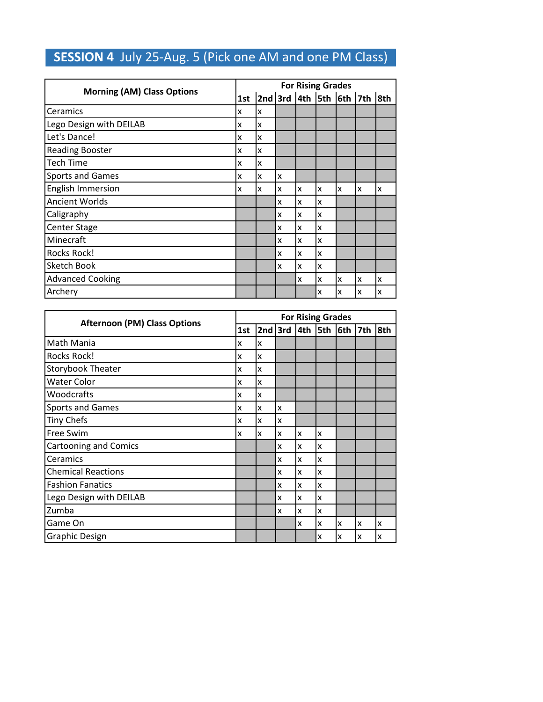### **SESSION 4** July 25-Aug. 5 (Pick one AM and one PM Class)

|                                   |     |           |   | <b>For Rising Grades</b> |    |         |     |     |
|-----------------------------------|-----|-----------|---|--------------------------|----|---------|-----|-----|
| <b>Morning (AM) Class Options</b> | 1st | $2nd$ 3rd |   | 4th                      |    | 5th 6th | 7th | 8th |
| Ceramics                          | x   | x         |   |                          |    |         |     |     |
| Lego Design with DEILAB           | x   | x         |   |                          |    |         |     |     |
| Let's Dance!                      | X   | X         |   |                          |    |         |     |     |
| <b>Reading Booster</b>            | x   | x         |   |                          |    |         |     |     |
| <b>Tech Time</b>                  | x   | x         |   |                          |    |         |     |     |
| <b>Sports and Games</b>           | x   | x         | X |                          |    |         |     |     |
| <b>English Immersion</b>          | x   | x         | X | x                        | Ιx | lχ      | x   | X   |
| <b>Ancient Worlds</b>             |     |           | x | X                        | x  |         |     |     |
| Caligraphy                        |     |           | x | x                        | X  |         |     |     |
| Center Stage                      |     |           | x | X                        | x  |         |     |     |
| Minecraft                         |     |           | x | x                        | Ιx |         |     |     |
| Rocks Rock!                       |     |           | x | x                        | x  |         |     |     |
| Sketch Book                       |     |           | x | x                        | X  |         |     |     |
| <b>Advanced Cooking</b>           |     |           |   | x                        | X  | X       | x   | x   |
| Archery                           |     |           |   |                          | X  | x       | x   | x   |

| <b>Afternoon (PM) Class Options</b> |     |           |   | <b>For Rising Grades</b> |   |   |     |     |
|-------------------------------------|-----|-----------|---|--------------------------|---|---|-----|-----|
|                                     | 1st | $2nd$ 3rd |   | $4th$ 5th $6th$          |   |   | 7th | 8th |
| Math Mania                          | x   | x         |   |                          |   |   |     |     |
| <b>Rocks Rock!</b>                  | x   | x         |   |                          |   |   |     |     |
| Storybook Theater                   | x   | x         |   |                          |   |   |     |     |
| Water Color                         | x   | X         |   |                          |   |   |     |     |
| Woodcrafts                          | x   | X         |   |                          |   |   |     |     |
| <b>Sports and Games</b>             | x   | X         | X |                          |   |   |     |     |
| <b>Tiny Chefs</b>                   | x   | x         | x |                          |   |   |     |     |
| Free Swim                           | x   | x         | X | x                        | X |   |     |     |
| <b>Cartooning and Comics</b>        |     |           | x | x                        | x |   |     |     |
| Ceramics                            |     |           | X | x                        | X |   |     |     |
| <b>Chemical Reactions</b>           |     |           | x | x                        | X |   |     |     |
| <b>Fashion Fanatics</b>             |     |           | x | x                        | X |   |     |     |
| Lego Design with DEILAB             |     |           | x | x                        | X |   |     |     |
| Zumba                               |     |           | x | x                        | x |   |     |     |
| Game On                             |     |           |   | x                        | x | X | X   | x   |
| <b>Graphic Design</b>               |     |           |   |                          | X | X | x   | x   |